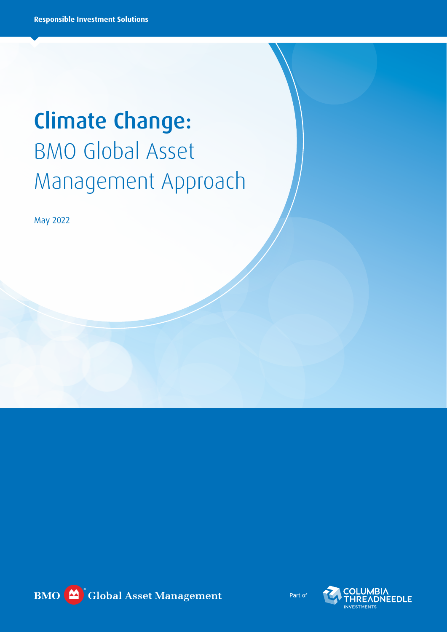# Climate Change: BMO Global Asset Management Approach

May 2022



Part of

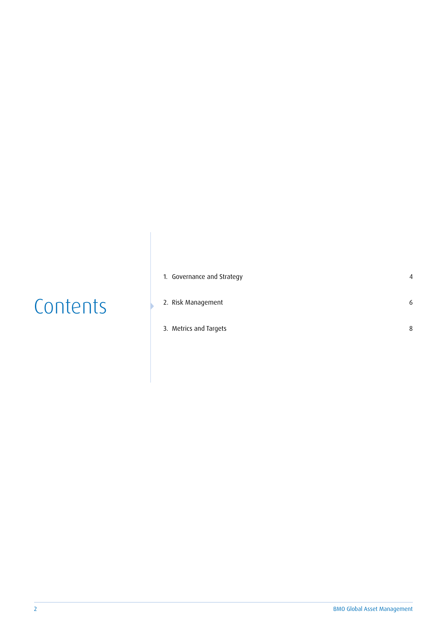|  |  | Contents |
|--|--|----------|
|  |  |          |

| 1. Governance and Strategy | Δ |
|----------------------------|---|
| 2. Risk Management         | 6 |
| 3. Metrics and Targets     | 8 |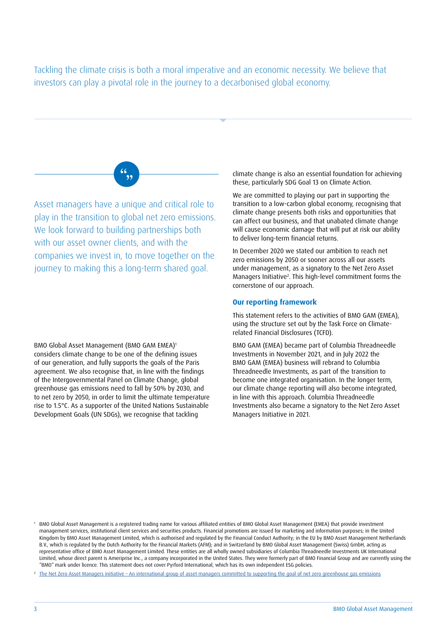Tackling the climate crisis is both a moral imperative and an economic necessity. We believe that investors can play a pivotal role in the journey to a decarbonised global economy.



Asset managers have a unique and critical role to play in the transition to global net zero emissions. We look forward to building partnerships both with our asset owner clients, and with the companies we invest in, to move together on the journey to making this a long-term shared goal.

BMO Global Asset Management (BMO GAM EMEA)1 considers climate change to be one of the defining issues of our generation, and fully supports the goals of the Paris agreement. We also recognise that, in line with the findings of the Intergovernmental Panel on Climate Change, global greenhouse gas emissions need to fall by 50% by 2030, and to net zero by 2050, in order to limit the ultimate temperature rise to 1.5°C. As a supporter of the United Nations Sustainable Development Goals (UN SDGs), we recognise that tackling

climate change is also an essential foundation for achieving these, particularly SDG Goal 13 on Climate Action.

We are committed to playing our part in supporting the transition to a low-carbon global economy, recognising that climate change presents both risks and opportunities that can affect our business, and that unabated climate change will cause economic damage that will put at risk our ability to deliver long-term financial returns.

In December 2020 we stated our ambition to reach net zero emissions by 2050 or sooner across all our assets under management, as a signatory to the Net Zero Asset Managers Initiative<sup>2</sup>. This high-level commitment forms the cornerstone of our approach.

## **Our reporting framework**

This statement refers to the activities of BMO GAM (EMEA), using the structure set out by the Task Force on Climaterelated Financial Disclosures (TCFD).

BMO GAM (EMEA) became part of Columbia Threadneedle Investments in November 2021, and in July 2022 the BMO GAM (EMEA) business will rebrand to Columbia Threadneedle Investments, as part of the transition to become one integrated organisation. In the longer term, our climate change reporting will also become integrated, in line with this approach. Columbia Threadneedle Investments also became a signatory to the Net Zero Asset Managers Initiative in 2021.

<sup>1</sup> BMO Global Asset Management is a registered trading name for various affiliated entities of BMO Global Asset Management (EMEA) that provide investment management services, institutional client services and securities products. Financial promotions are issued for marketing and information purposes; in the United Kingdom by BMO Asset Management Limited, which is authorised and regulated by the Financial Conduct Authority; in the EU by BMO Asset Management Netherlands B.V., which is regulated by the Dutch Authority for the Financial Markets (AFM); and in Switzerland by BMO Global Asset Management (Swiss) GmbH, acting as representative office of BMO Asset Management Limited. These entities are all wholly owned subsidiaries of Columbia Threadneedle Investments UK International Limited, whose direct parent is Ameriprise Inc., a company incorporated in the United States. They were formerly part of BMO Financial Group and are currently using the "BMO" mark under licence. This statement does not cover Pyrford International, which has its own independent ESG policies.

<sup>&</sup>lt;sup>2</sup> [The Net Zero Asset Managers initiative – An international group of asset managers committed to supporting the goal of net zero greenhouse gas emissions](https://www.netzeroassetmanagers.org/)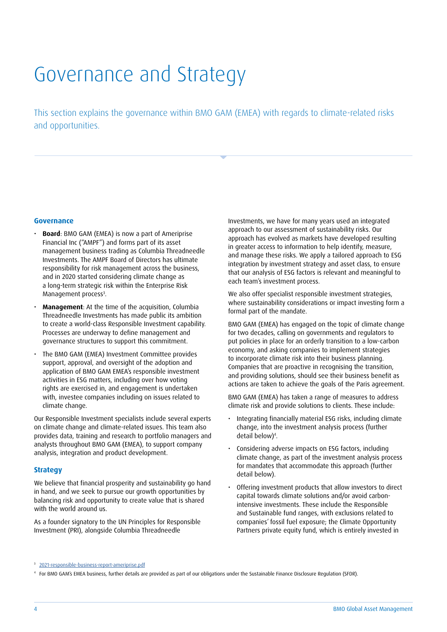# Governance and Strategy

This section explains the governance within BMO GAM (EMEA) with regards to climate-related risks and opportunities.

### **Governance**

- **Board**: BMO GAM (EMEA) is now a part of Ameriprise Financial Inc ("AMPF") and forms part of its asset management business trading as Columbia Threadneedle Investments. The AMPF Board of Directors has ultimate responsibility for risk management across the business, and in 2020 started considering climate change as a long-term strategic risk within the Enterprise Risk Management process<sup>3</sup>.
- **Management**: At the time of the acquisition, Columbia Threadneedle Investments has made public its ambition to create a world-class Responsible Investment capability. Processes are underway to define management and governance structures to support this commitment.
- The BMO GAM (EMEA) Investment Committee provides support, approval, and oversight of the adoption and application of BMO GAM EMEA's responsible investment activities in ESG matters, including over how voting rights are exercised in, and engagement is undertaken with, investee companies including on issues related to climate change.

Our Responsible Investment specialists include several experts on climate change and climate-related issues. This team also provides data, training and research to portfolio managers and analysts throughout BMO GAM (EMEA), to support company analysis, integration and product development.

### **Strategy**

We believe that financial prosperity and sustainability go hand in hand, and we seek to pursue our growth opportunities by balancing risk and opportunity to create value that is shared with the world around us.

As a founder signatory to the UN Principles for Responsible Investment (PRI), alongside Columbia Threadneedle

Investments, we have for many years used an integrated approach to our assessment of sustainability risks. Our approach has evolved as markets have developed resulting in greater access to information to help identify, measure, and manage these risks. We apply a tailored approach to ESG integration by investment strategy and asset class, to ensure that our analysis of ESG factors is relevant and meaningful to each team's investment process.

We also offer specialist responsible investment strategies, where sustainability considerations or impact investing form a formal part of the mandate.

BMO GAM (EMEA) has engaged on the topic of climate change for two decades, calling on governments and regulators to put policies in place for an orderly transition to a low-carbon economy, and asking companies to implement strategies to incorporate climate risk into their business planning. Companies that are proactive in recognising the transition, and providing solutions, should see their business benefit as actions are taken to achieve the goals of the Paris agreement.

BMO GAM (EMEA) has taken a range of measures to address climate risk and provide solutions to clients. These include:

- Integrating financially material ESG risks, including climate change, into the investment analysis process (further detail below)4 .
- Considering adverse impacts on ESG factors, including climate change, as part of the investment analysis process for mandates that accommodate this approach (further detail below).
- Offering investment products that allow investors to direct capital towards climate solutions and/or avoid carbonintensive investments. These include the Responsible and Sustainable fund ranges, with exclusions related to companies' fossil fuel exposure; the Climate Opportunity Partners private equity fund, which is entirely invested in

<sup>3</sup> [2021-responsible-business-report-ameriprise.pdf](https://www.ameriprise.com/binaries/content/assets/ampcom/2021-responsible-business-report-ameriprise.pdf)

<sup>4</sup> For BMO GAM's EMEA business, further details are provided as part of our obligations under the Sustainable Finance Disclosure Regulation (SFDR).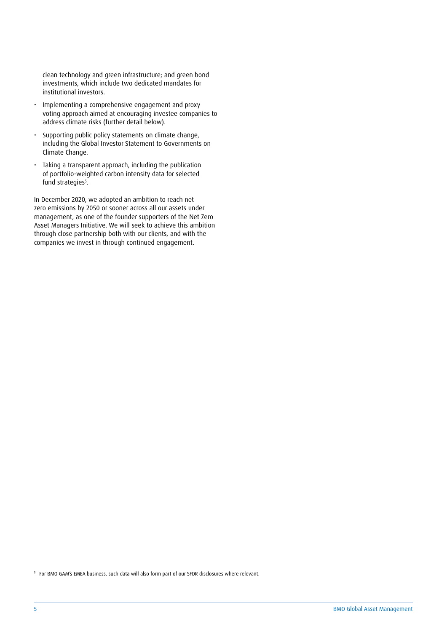clean technology and green infrastructure; and green bond investments, which include two dedicated mandates for institutional investors.

- Implementing a comprehensive engagement and proxy voting approach aimed at encouraging investee companies to address climate risks (further detail below).
- Supporting public policy statements on climate change, including the Global Investor Statement to Governments on Climate Change.
- Taking a transparent approach, including the publication of portfolio-weighted carbon intensity data for selected fund strategies<sup>s</sup>.

In December 2020, we adopted an ambition to reach net zero emissions by 2050 or sooner across all our assets under management, as one of the founder supporters of the Net Zero Asset Managers Initiative. We will seek to achieve this ambition through close partnership both with our clients, and with the companies we invest in through continued engagement.

<sup>5</sup> For BMO GAM's EMEA business, such data will also form part of our SFDR disclosures where relevant.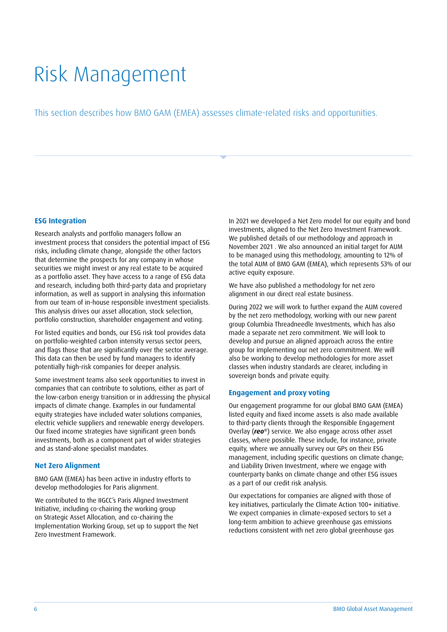# Risk Management

This section describes how BMO GAM (EMEA) assesses climate-related risks and opportunities.

# **ESG Integration**

Research analysts and portfolio managers follow an investment process that considers the potential impact of ESG risks, including climate change, alongside the other factors that determine the prospects for any company in whose securities we might invest or any real estate to be acquired as a portfolio asset. They have access to a range of ESG data and research, including both third-party data and proprietary information, as well as support in analysing this information from our team of in-house responsible investment specialists. This analysis drives our asset allocation, stock selection, portfolio construction, shareholder engagement and voting.

For listed equities and bonds, our ESG risk tool provides data on portfolio-weighted carbon intensity versus sector peers, and flags those that are significantly over the sector average. This data can then be used by fund managers to identify potentially high-risk companies for deeper analysis.

Some investment teams also seek opportunities to invest in companies that can contribute to solutions, either as part of the low-carbon energy transition or in addressing the physical impacts of climate change. Examples in our fundamental equity strategies have included water solutions companies, electric vehicle suppliers and renewable energy developers. Our fixed income strategies have significant green bonds investments, both as a component part of wider strategies and as stand-alone specialist mandates.

### **Net Zero Alignment**

BMO GAM (EMEA) has been active in industry efforts to develop methodologies for Paris alignment.

We contributed to the IIGCC's Paris Aligned Investment Initiative, including co-chairing the working group on Strategic Asset Allocation, and co-chairing the Implementation Working Group, set up to support the Net Zero Investment Framework.

In 2021 we developed a Net Zero model for our equity and bond investments, aligned to the Net Zero Investment Framework. We published details of our methodology and approach in November 2021 . We also announced an initial target for AUM to be managed using this methodology, amounting to 12% of the total AUM of BMO GAM (EMEA), which represents 53% of our active equity exposure.

We have also published a methodology for net zero alignment in our direct real estate business.

During 2022 we will work to further expand the AUM covered by the net zero methodology, working with our new parent group Columbia Threadneedle Investments, which has also made a separate net zero commitment. We will look to develop and pursue an aligned approach across the entire group for implementing our net zero commitment. We will also be working to develop methodologies for more asset classes when industry standards are clearer, including in sovereign bonds and private equity.

### **Engagement and proxy voting**

Our engagement programme for our global BMO GAM (EMEA) listed equity and fixed income assets is also made available to third-party clients through the Responsible Engagement Overlay (*reo*®) service. We also engage across other asset classes, where possible. These include, for instance, private equity, where we annually survey our GPs on their ESG management, including specific questions on climate change; and Liability Driven Investment, where we engage with counterparty banks on climate change and other ESG issues as a part of our credit risk analysis.

Our expectations for companies are aligned with those of key initiatives, particularly the Climate Action 100+ initiative. We expect companies in climate-exposed sectors to set a long-term ambition to achieve greenhouse gas emissions reductions consistent with net zero global greenhouse gas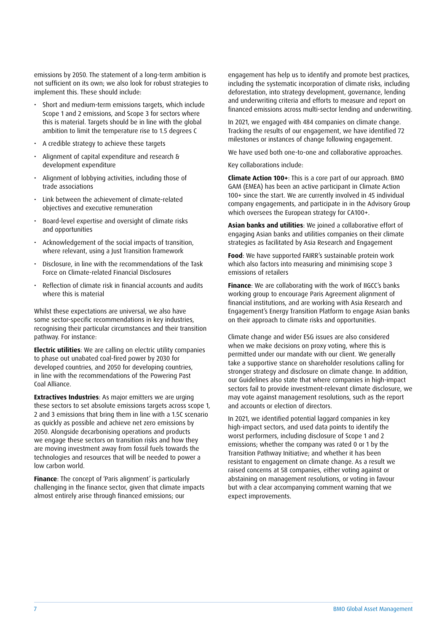emissions by 2050. The statement of a long-term ambition is not sufficient on its own; we also look for robust strategies to implement this. These should include:

- Short and medium-term emissions targets, which include Scope 1 and 2 emissions, and Scope 3 for sectors where this is material. Targets should be in line with the global ambition to limit the temperature rise to 1.5 degrees C
- A credible strategy to achieve these targets
- Alignment of capital expenditure and research & development expenditure
- Alignment of lobbying activities, including those of trade associations
- Link between the achievement of climate-related objectives and executive remuneration
- Board-level expertise and oversight of climate risks and opportunities
- Acknowledgement of the social impacts of transition, where relevant, using a Just Transition framework
- Disclosure, in line with the recommendations of the Task Force on Climate-related Financial Disclosures
- Reflection of climate risk in financial accounts and audits where this is material

Whilst these expectations are universal, we also have some sector-specific recommendations in key industries, recognising their particular circumstances and their transition pathway. For instance:

**Electric utilities**: We are calling on electric utility companies to phase out unabated coal-fired power by 2030 for developed countries, and 2050 for developing countries, in line with the recommendations of the Powering Past Coal Alliance.

**Extractives Industries**: As major emitters we are urging these sectors to set absolute emissions targets across scope 1, 2 and 3 emissions that bring them in line with a 1.5C scenario as quickly as possible and achieve net zero emissions by 2050. Alongside decarbonising operations and products we engage these sectors on transition risks and how they are moving investment away from fossil fuels towards the technologies and resources that will be needed to power a low carbon world.

**Finance**: The concept of 'Paris alignment' is particularly challenging in the finance sector, given that climate impacts almost entirely arise through financed emissions; our

engagement has help us to identify and promote best practices, including the systematic incorporation of climate risks, including deforestation, into strategy development, governance, lending and underwriting criteria and efforts to measure and report on financed emissions across multi-sector lending and underwriting.

In 2021, we engaged with 484 companies on climate change. Tracking the results of our engagement, we have identified 72 milestones or instances of change following engagement.

We have used both one-to-one and collaborative approaches.

Key collaborations include:

**Climate Action 100+**: This is a core part of our approach. BMO GAM (EMEA) has been an active participant in Climate Action 100+ since the start. We are currently involved in 45 individual company engagements, and participate in in the Advisory Group which oversees the European strategy for CA100+.

**Asian banks and utilities**: We joined a collaborative effort of engaging Asian banks and utilities companies on their climate strategies as facilitated by Asia Research and Engagement

**Food**: We have supported FAIRR's sustainable protein work which also factors into measuring and minimising scope 3 emissions of retailers

**Finance**: We are collaborating with the work of IIGCC's banks working group to encourage Paris Agreement alignment of financial institutions, and are working with Asia Research and Engagement's Energy Transition Platform to engage Asian banks on their approach to climate risks and opportunities.

Climate change and wider ESG issues are also considered when we make decisions on proxy voting, where this is permitted under our mandate with our client. We generally take a supportive stance on shareholder resolutions calling for stronger strategy and disclosure on climate change. In addition, our Guidelines also state that where companies in high-impact sectors fail to provide investment-relevant climate disclosure, we may vote against management resolutions, such as the report and accounts or election of directors.

In 2021, we identified potential laggard companies in key high-impact sectors, and used data points to identify the worst performers, including disclosure of Scope 1 and 2 emissions; whether the company was rated 0 or 1 by the Transition Pathway Initiative; and whether it has been resistant to engagement on climate change. As a result we raised concerns at 58 companies, either voting against or abstaining on management resolutions, or voting in favour but with a clear accompanying comment warning that we expect improvements.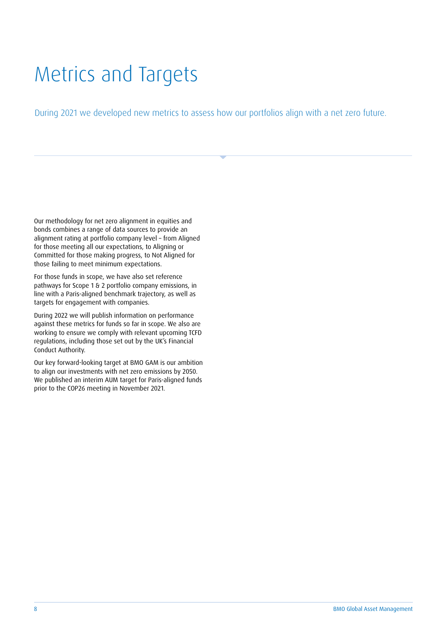# Metrics and Targets

During 2021 we developed new metrics to assess how our portfolios align with a net zero future.

Our methodology for net zero alignment in equities and bonds combines a range of data sources to provide an alignment rating at portfolio company level – from Aligned for those meeting all our expectations, to Aligning or Committed for those making progress, to Not Aligned for those failing to meet minimum expectations.

For those funds in scope, we have also set reference pathways for Scope 1 & 2 portfolio company emissions, in line with a Paris-aligned benchmark trajectory, as well as targets for engagement with companies.

During 2022 we will publish information on performance against these metrics for funds so far in scope. We also are working to ensure we comply with relevant upcoming TCFD regulations, including those set out by the UK's Financial Conduct Authority.

Our key forward-looking target at BMO GAM is our ambition to align our investments with net zero emissions by 2050. We published an interim AUM target for Paris-aligned funds prior to the COP26 meeting in November 2021.